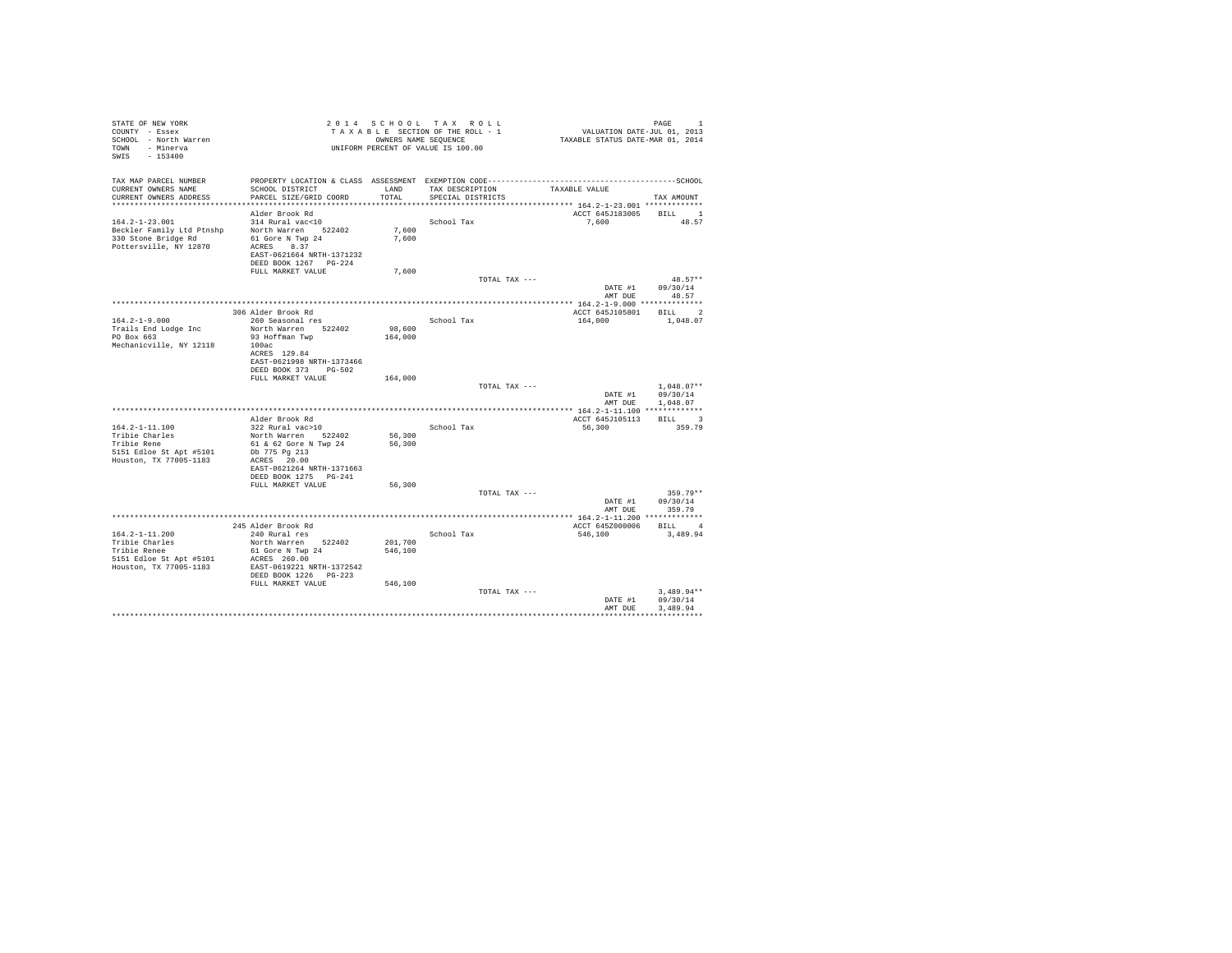| STATE OF NEW YORK<br>COUNTY - Essex<br>SCHOOL - North Warren<br>TOWN - Minerva<br>SWIS - 153400             |                                                                                                                                                                                               |                            | 2014 SCHOOL TAX ROLL<br>TAXABLE SECTION OF THE ROLL - 1<br>OWNERS NAME SEQUENCE<br>UNIFORM PERCENT OF VALUE IS 100.00 | VALUATION DATE-JUL 01, 2013<br>TAXABLE STATUS DATE-MAR 01, 2014          | PAGE<br>$\mathbf{1}$                         |
|-------------------------------------------------------------------------------------------------------------|-----------------------------------------------------------------------------------------------------------------------------------------------------------------------------------------------|----------------------------|-----------------------------------------------------------------------------------------------------------------------|--------------------------------------------------------------------------|----------------------------------------------|
| TAX MAP PARCEL NUMBER<br>CURRENT OWNERS NAME<br>CURRENT OWNERS ADDRESS                                      | PROPERTY LOCATION & CLASS ASSESSMENT EXEMPTION CODE-----------------------------------SCHOOL<br>SCHOOL DISTRICT<br>PARCEL SIZE/GRID COORD                                                     | LAND<br>TOTAL              | TAX DESCRIPTION<br>SPECIAL DISTRICTS                                                                                  | TAXABLE VALUE<br>************************** 164.2-1-23.001 ************* | TAX AMOUNT                                   |
| $164.2 - 1 - 23.001$<br>Beckler Family Ltd Ptnshp<br>330 Stone Bridge Rd<br>Pottersville, NY 12870          | Alder Brook Rd<br>314 Rural vac<10<br>North Warren 522402<br>61 Gore N Twp 24<br>ACRES 8.37<br>EAST-0621664 NRTH-1371232<br>DEED BOOK 1267 PG-224                                             | 7,600<br>7,600             | School Tax                                                                                                            | ACCT 645J183005 BILL 1<br>7.600                                          | 48.57                                        |
|                                                                                                             | FULL MARKET VALUE                                                                                                                                                                             | 7,600                      | TOTAL TAX ---                                                                                                         | DATE #1                                                                  | $48.57**$<br>09/30/14<br>AMT DUE 48.57       |
|                                                                                                             |                                                                                                                                                                                               |                            |                                                                                                                       |                                                                          |                                              |
| $164.2 - 1 - 9.000$<br>Trails End Lodge Inc<br>PO Box 663<br>Mechanicville, NY 12118                        | 306 Alder Brook Rd<br>260 Seasonal res<br>North Warren 522402<br>93 Hoffman Twp<br>100ac<br>ACRES 129.84<br>EAST-0621998 NRTH-1373466<br>DEED BOOK 373 PG-502                                 | 98,600<br>164,000          | School Tax                                                                                                            | ACCT 645J105801<br>164,000                                               | <b>BILL</b><br>$\overline{2}$<br>1,048.07    |
|                                                                                                             | FULL MARKET VALUE                                                                                                                                                                             | 164,000                    | TOTAL TAX ---                                                                                                         | DATE #1                                                                  | $1.048.07**$<br>09/30/14<br>AMT DUE 1,048.07 |
|                                                                                                             |                                                                                                                                                                                               |                            |                                                                                                                       |                                                                          |                                              |
| 164.2-1-11.100<br>Tribie Charles<br>Tribie Rene<br>5151 Edloe St Apt #5101<br>Houston, TX 77005-1183        | Alder Brook Rd<br>322 Rural vac>10<br>North Warren 522402<br>61 & 62 Gore N Twp 24<br>Db 775 Pg 213<br>ACRES 20.00<br>EAST-0621264 NRTH-1371663<br>DEED BOOK 1275 PG-241<br>FULL MARKET VALUE | 56,300<br>56,300<br>56,300 | School Tax                                                                                                            | ACCT 645J105113<br>56,300                                                | BILL 3<br>359.79                             |
|                                                                                                             |                                                                                                                                                                                               |                            | TOTAL TAX ---                                                                                                         |                                                                          | $359.79**$                                   |
|                                                                                                             |                                                                                                                                                                                               |                            |                                                                                                                       | DATE #1<br>AMT DUE                                                       | 09/30/14<br>359.79                           |
|                                                                                                             |                                                                                                                                                                                               |                            |                                                                                                                       | ACCT 645Z000006                                                          | BILL 4                                       |
| $164.2 - 1 - 11.200$<br>Tribie Charles<br>Tribie Renee<br>5151 Edloe St Apt #5101<br>Houston, TX 77005-1183 | 245 Alder Brook Rd<br>240 Rural res<br>North Warren 522402<br>61 Gore N Twp 24<br>ACRES 260.00<br>EAST-0619221 NRTH-1372542<br>DEED BOOK 1226 PG-223                                          | 201,700<br>546,100         | School Tax                                                                                                            | 546,100                                                                  | 3,489.94                                     |
|                                                                                                             | FULL MARKET VALUE                                                                                                                                                                             | 546,100                    | TOTAL TAX ---                                                                                                         | DATE #1<br>AMT DUE                                                       | $3.489.94**$<br>09/30/14<br>3,489.94         |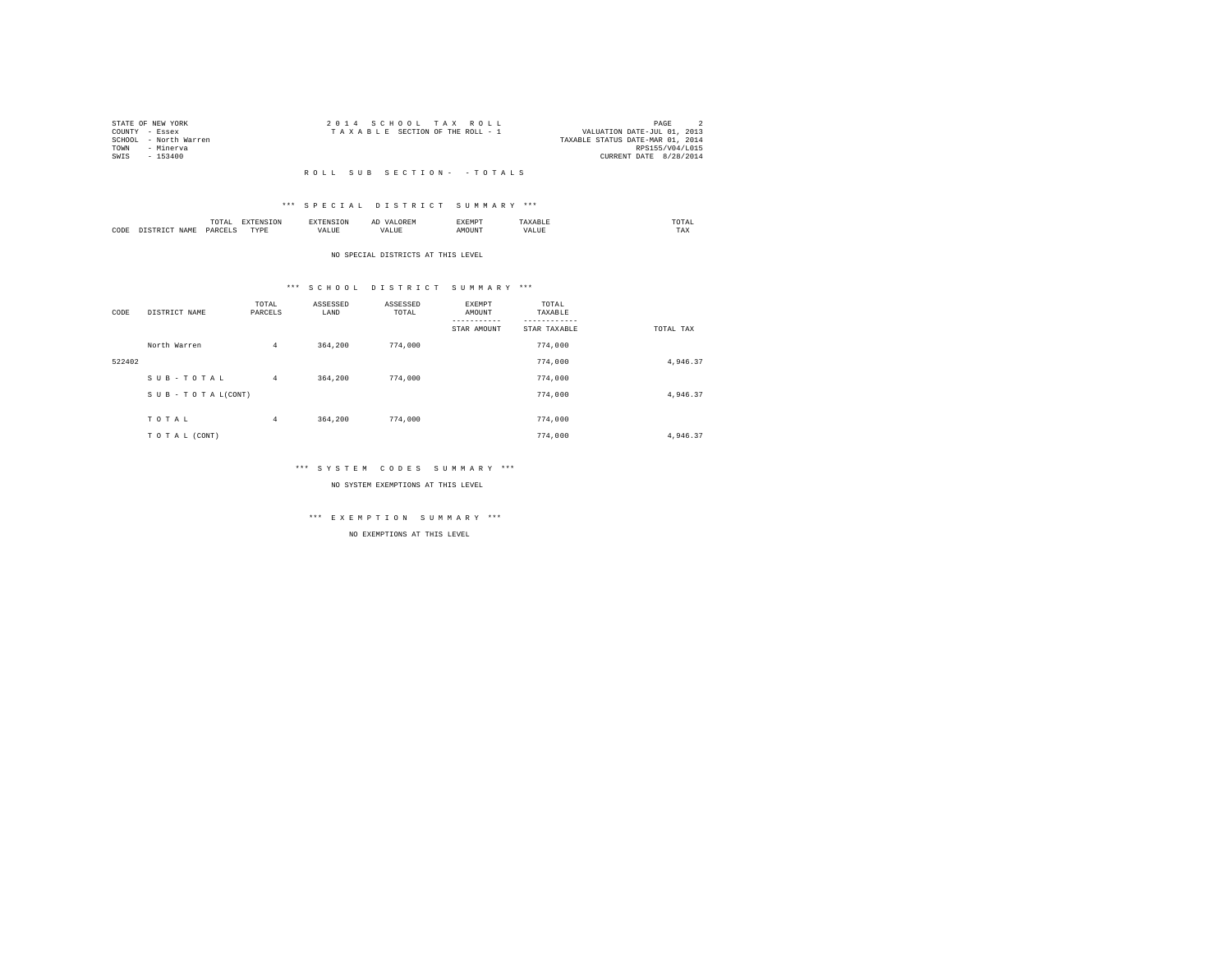|      | STATE OF NEW YORK     | 2014 SCHOOL TAX ROLL                                           | PAGE                   |  |
|------|-----------------------|----------------------------------------------------------------|------------------------|--|
|      | COUNTY - Essex        | VALUATION DATE-JUL 01, 2013<br>TAXABLE SECTION OF THE ROLL - 1 |                        |  |
|      | SCHOOL - North Warren | TAXABLE STATUS DATE-MAR 01, 2014                               |                        |  |
| TOWN | - Minerva             |                                                                | RPS155/V04/L015        |  |
| SWIS | - 153400              |                                                                | CURRENT DATE 8/28/2014 |  |
|      |                       |                                                                |                        |  |

### R O L L S U B S E C T I O N - - T O T A L S

### \*\*\* S P E C I A L D I S T R I C T S U M M A R Y \*\*\*

|      |     | .                       |          |    | АΙ | <b>EXEMPT</b><br>----- |             | UIAL<br>the contract of the contract of the contract of |  |
|------|-----|-------------------------|----------|----|----|------------------------|-------------|---------------------------------------------------------|--|
| CODE | ៲△៳ | <b>DARCEL</b><br>$\sim$ | TVD<br>. | ,, |    | IUN.                   | $\sim$<br>. | 1 A.A                                                   |  |

#### NO SPECIAL DISTRICTS AT THIS LEVEL

# \*\*\* S C H O O L D I S T R I C T S U M M A R Y \*\*\*

| CODE   | DISTRICT NAME      | TOTAL<br>PARCELS | ASSESSED<br>LAND | ASSESSED<br>TOTAL | EXEMPT<br>AMOUNT | TOTAL<br>TAXABLE |           |
|--------|--------------------|------------------|------------------|-------------------|------------------|------------------|-----------|
|        |                    |                  |                  |                   | STAR AMOUNT      | STAR TAXABLE     | TOTAL TAX |
|        | North Warren       | 4                | 364,200          | 774,000           |                  | 774,000          |           |
| 522402 |                    |                  |                  |                   |                  | 774,000          | 4,946.37  |
|        | SUB-TOTAL          | $\overline{4}$   | 364,200          | 774,000           |                  | 774,000          |           |
|        | SUB - TO TAL(CONT) |                  |                  |                   |                  | 774,000          | 4,946.37  |
|        |                    |                  |                  |                   |                  |                  |           |
|        | TOTAL              | 4                | 364,200          | 774,000           |                  | 774,000          |           |
|        | TO TAL (CONT)      |                  |                  |                   |                  | 774,000          | 4.946.37  |

### \*\*\* S Y S T E M C O D E S S U M M A R Y \*\*\*

NO SYSTEM EXEMPTIONS AT THIS LEVEL

# \*\*\* E X E M P T I O N S U M M A R Y \*\*\*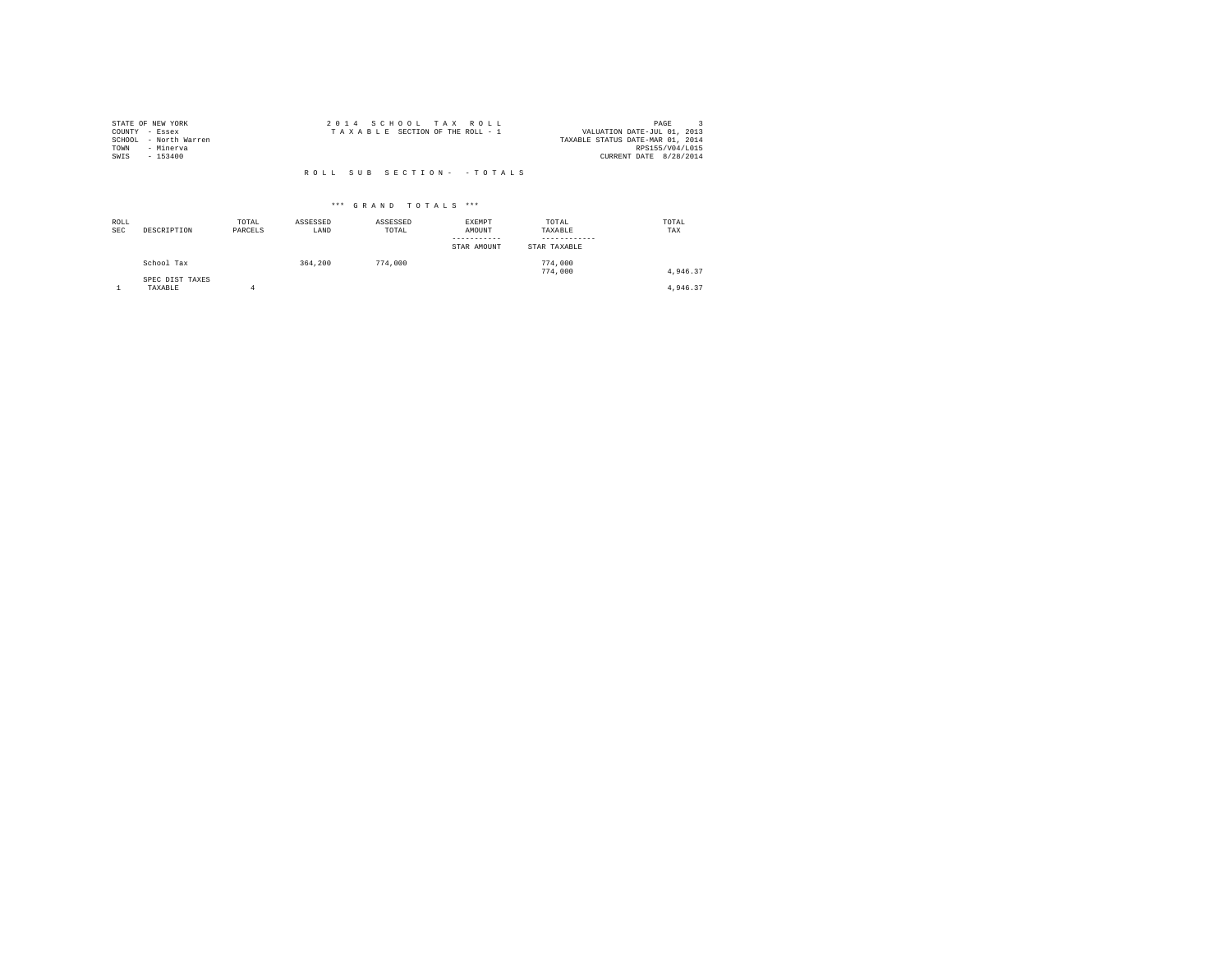|                | STATE OF NEW YORK     |  | 2014 SCHOOL TAX ROLL            |                            | PAGE                             |
|----------------|-----------------------|--|---------------------------------|----------------------------|----------------------------------|
| COUNTY - Essex |                       |  | TAXABLE SECTION OF THE ROLL - 1 |                            | VALUATION DATE-JUL 01, 2013      |
|                | SCHOOL - North Warren |  |                                 |                            | TAXABLE STATUS DATE-MAR 01, 2014 |
| TOWN           | - Minerva             |  |                                 |                            | RPS155/V04/L015                  |
| SWIS           | $-153400$             |  |                                 |                            | CURRENT DATE 8/28/2014           |
|                |                       |  |                                 |                            |                                  |
|                |                       |  |                                 | ROLL SUB SECTION- - TOTALS |                                  |

| ROLL<br>SEC | DESCRIPTION                   | TOTAL<br>PARCELS | ASSESSED<br>LAND | ASSESSED<br>TOTAL | EXEMPT<br>AMOUNT<br>-----------<br>STAR AMOUNT | TOTAL<br>TAXABLE<br>------------<br>STAR TAXABLE | TOTAL<br>TAX |
|-------------|-------------------------------|------------------|------------------|-------------------|------------------------------------------------|--------------------------------------------------|--------------|
|             | School Tax<br>SPEC DIST TAXES |                  | 364,200          | 774,000           |                                                | 774,000<br>774,000                               | 4.946.37     |
|             | TAXABLE                       | 4                |                  |                   |                                                |                                                  | 4,946.37     |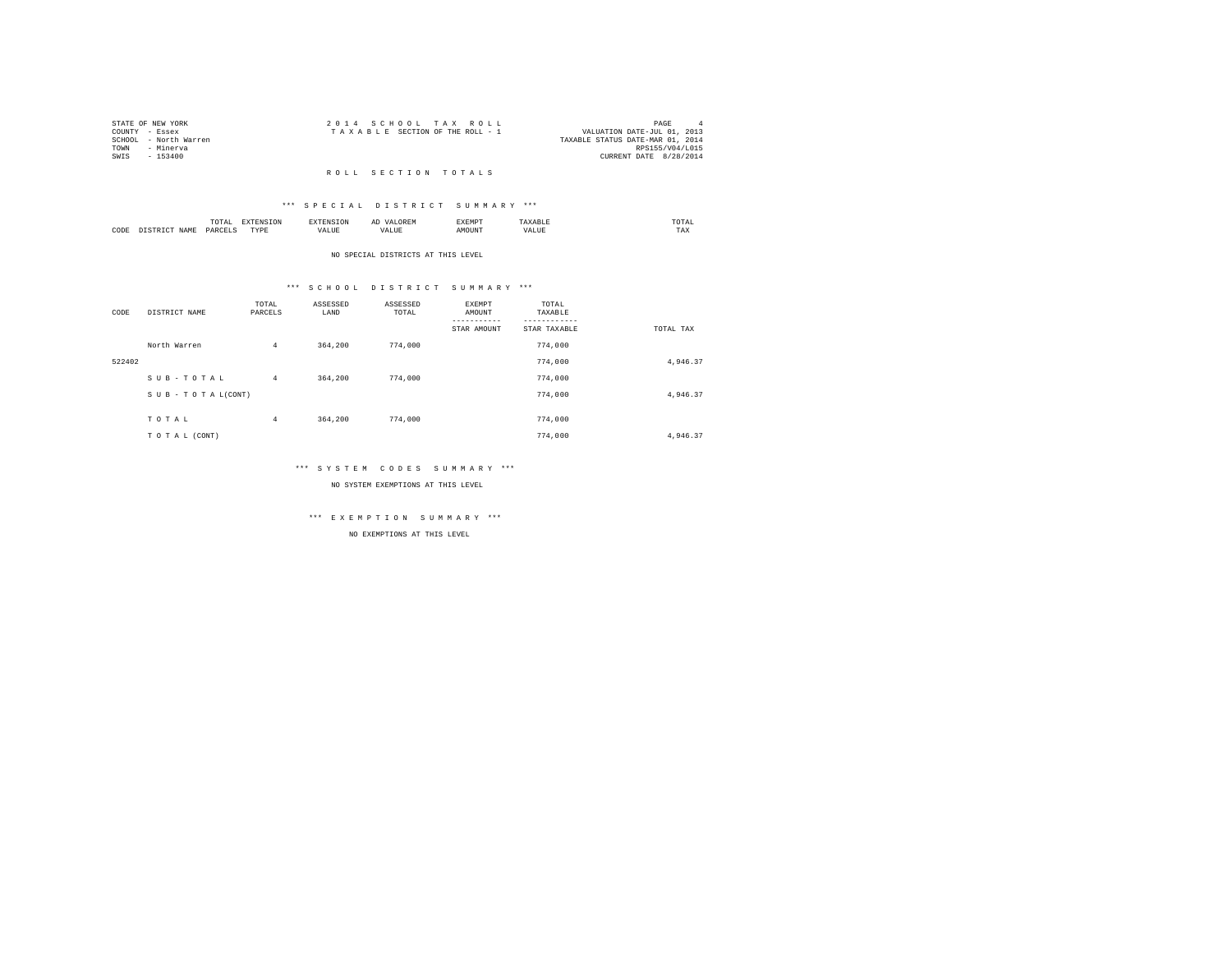|      | STATE OF NEW YORK     | 2014 SCHOOL TAX ROLL                                           | PAGE                   |  |
|------|-----------------------|----------------------------------------------------------------|------------------------|--|
|      | COUNTY - Essex        | VALUATION DATE-JUL 01, 2013<br>TAXABLE SECTION OF THE ROLL - 1 |                        |  |
|      | SCHOOL - North Warren | TAXABLE STATUS DATE-MAR 01, 2014                               |                        |  |
| TOWN | - Minerva             |                                                                | RPS155/V04/L015        |  |
| SWIS | $-153400$             |                                                                | CURRENT DATE 8/28/2014 |  |
|      |                       |                                                                |                        |  |

#### R O L L S E C T I O N T O T A L S

### \*\*\* S P E C I A L D I S T R I C T S U M M A R Y \*\*\*

|      | .              | the contract of the contract of the contract of the contract of the contract of the contract of the contract of | ≖  | .    | $n \wedge m$<br>the contract of the contract of the contract of |
|------|----------------|-----------------------------------------------------------------------------------------------------------------|----|------|-----------------------------------------------------------------|
| CODE | ODP'<br>$\sim$ | wm.<br>.                                                                                                        | -- | ראטי | 1.44A                                                           |

#### NO SPECIAL DISTRICTS AT THIS LEVEL

# \*\*\* S C H O O L D I S T R I C T S U M M A R Y \*\*\*

| CODE   | DISTRICT NAME   | TOTAL<br>PARCELS | ASSESSED<br>LAND | ASSESSED<br>TOTAL | EXEMPT<br>AMOUNT | TOTAL<br>TAXABLE |           |
|--------|-----------------|------------------|------------------|-------------------|------------------|------------------|-----------|
|        |                 |                  |                  |                   | STAR AMOUNT      | STAR TAXABLE     | TOTAL TAX |
|        | North Warren    | $\overline{4}$   | 364,200          | 774,000           |                  | 774,000          |           |
| 522402 |                 |                  |                  |                   |                  | 774,000          | 4,946.37  |
|        | SUB-TOTAL       | $\overline{4}$   | 364,200          | 774,000           |                  | 774,000          |           |
|        | SUB-TOTAL(CONT) |                  |                  |                   |                  | 774,000          | 4,946.37  |
|        |                 |                  |                  |                   |                  |                  |           |
|        | TOTAL           | $\overline{4}$   | 364,200          | 774,000           |                  | 774,000          |           |
|        | TO TAL (CONT)   |                  |                  |                   |                  | 774,000          | 4.946.37  |

# \*\*\* S Y S T E M C O D E S S U M M A R Y \*\*\*

NO SYSTEM EXEMPTIONS AT THIS LEVEL

# \*\*\* E X E M P T I O N S U M M A R Y \*\*\*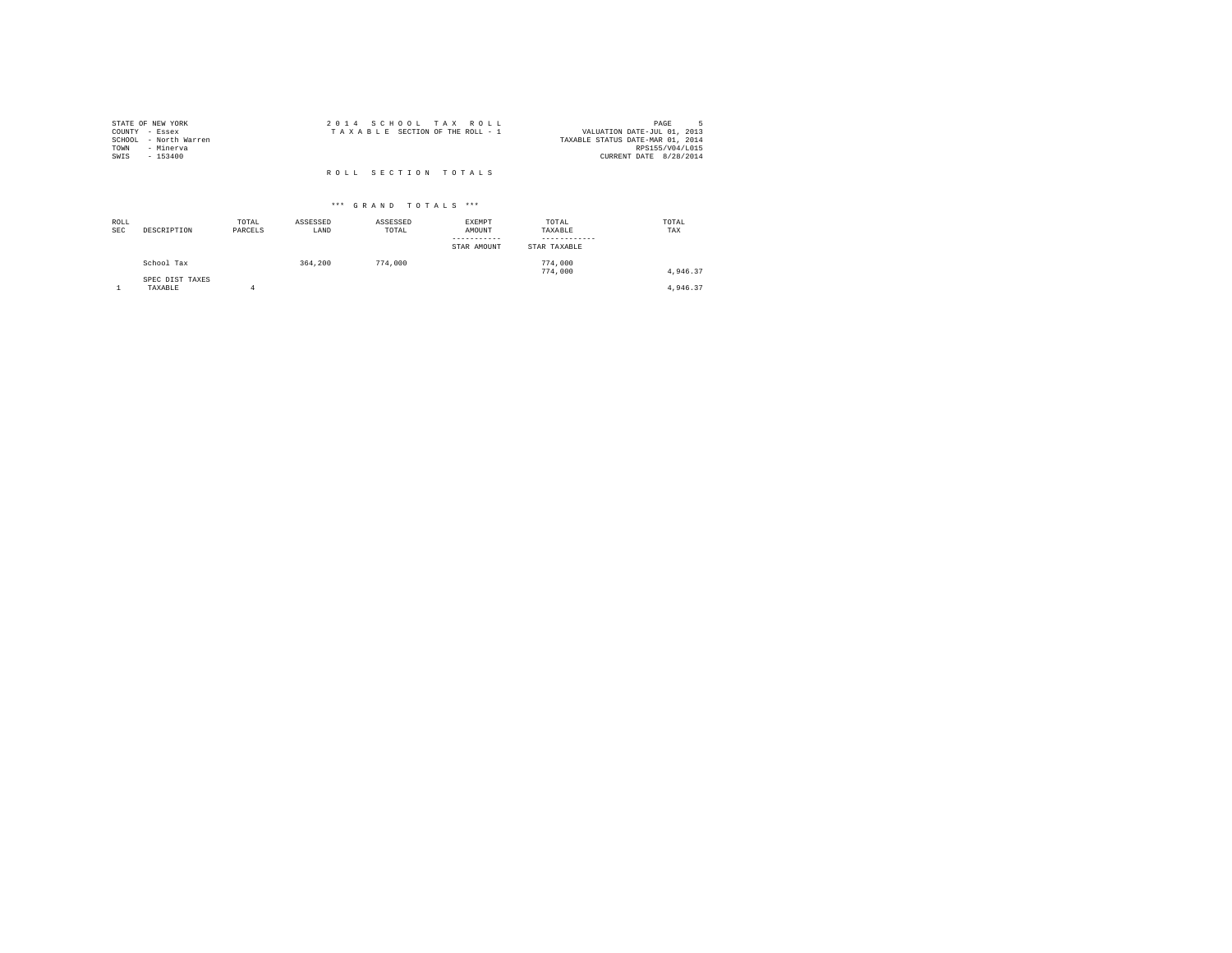| STATE OF NEW YORK                       | 2014 SCHOOL TAX ROLL            | PAGE                                                            |
|-----------------------------------------|---------------------------------|-----------------------------------------------------------------|
| COUNTY - Essex<br>SCHOOL - North Warren | TAXABLE SECTION OF THE ROLL - 1 | VALUATION DATE-JUL 01, 2013<br>TAXABLE STATUS DATE-MAR 01, 2014 |
| TOWN<br>- Minerva                       |                                 | RPS155/V04/L015                                                 |
| SWIS<br>$-153400$                       |                                 | CURRENT DATE 8/28/2014                                          |
|                                         | ROLL SECTION TOTALS             |                                                                 |

| ROLL<br><b>SEC</b> | DESCRIPTION                | TOTAL<br>PARCELS | ASSESSED<br>LAND | ASSESSED<br>TOTAL | EXEMPT<br>AMOUNT<br>-----------<br>STAR AMOUNT | TOTAL<br>TAXABLE<br>------------<br>STAR TAXABLE | TOTAL<br>TAX |
|--------------------|----------------------------|------------------|------------------|-------------------|------------------------------------------------|--------------------------------------------------|--------------|
|                    | School Tax                 |                  | 364,200          | 774,000           |                                                | 774,000<br>774,000                               | 4.946.37     |
|                    | SPEC DIST TAXES<br>TAXABLE |                  |                  |                   |                                                |                                                  | 4,946.37     |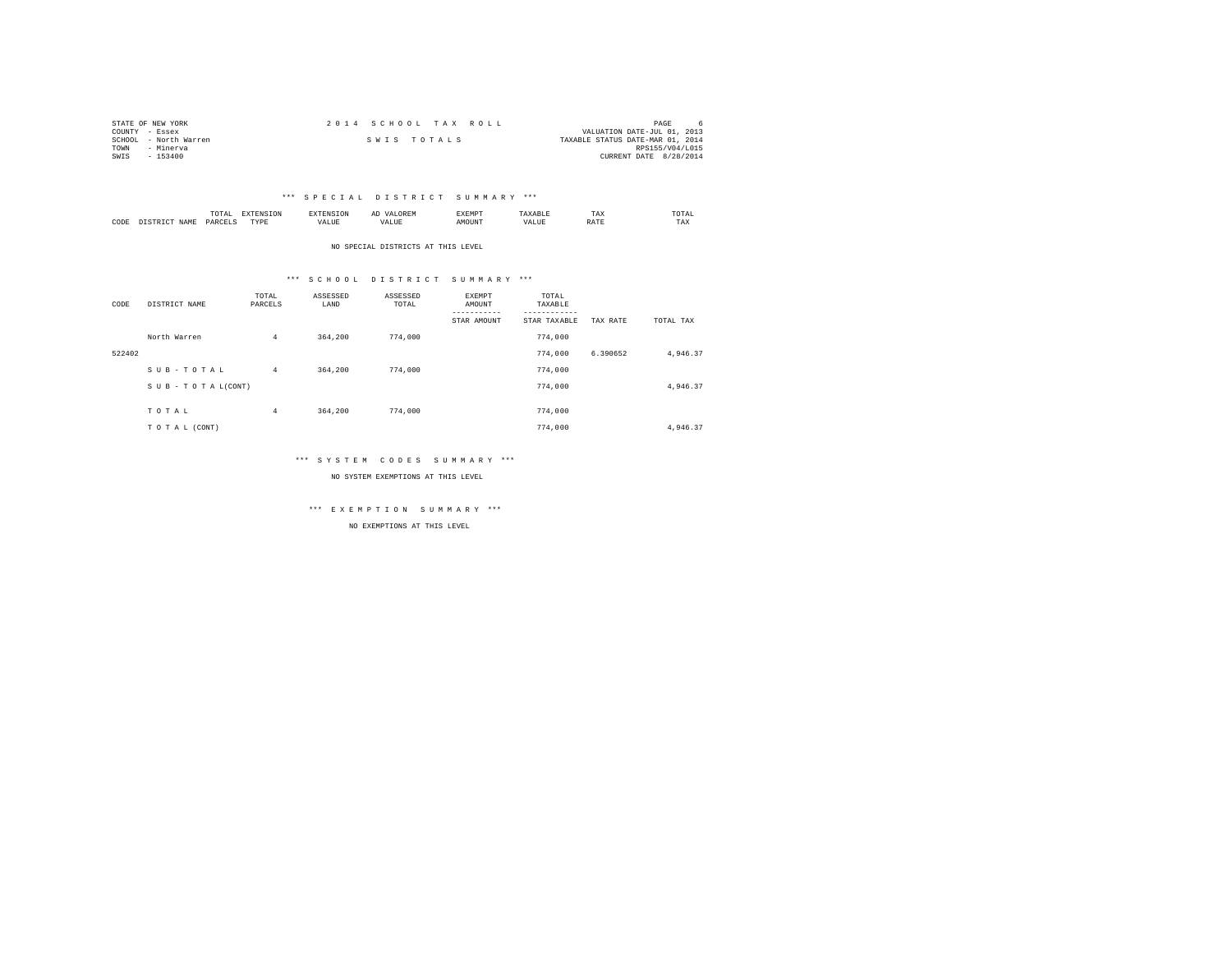| STATE OF NEW YORK     | 2014 SCHOOL TAX ROLL | PAGE                             |
|-----------------------|----------------------|----------------------------------|
| COUNTY - Essex        |                      | VALUATION DATE-JUL 01, 2013      |
| SCHOOL - North Warren | SWIS TOTALS          | TAXABLE STATUS DATE-MAR 01, 2014 |
| TOWN<br>- Minerva     |                      | RPS155/V04/L015                  |
| SWIS<br>$-153400$     |                      | CURRENT DATE 8/28/2014           |

### \*\*\* S P E C I A L D I S T R I C T S U M M A R Y \*\*\*

|      |             | .<br>the contract of the contract of the contract of | the contract of the contract of the contract of the contract of the contract of |            | 11.11 | . |      | ---<br>1 A.A      | UTAL<br>the contract of the contract of the contract of |
|------|-------------|------------------------------------------------------|---------------------------------------------------------------------------------|------------|-------|---|------|-------------------|---------------------------------------------------------|
| CODE | <b>CAMP</b> | $U \Delta E C$<br>.                                  | rvnt<br>.                                                                       | a.<br>ALUD | n     |   | 'ALL | <b>STATISTICS</b> | $- - -$<br>TAX                                          |

NO SPECIAL DISTRICTS AT THIS LEVEL

### \*\*\* S C H O O L D I S T R I C T S U M M A R Y \*\*\*

| CODE   | DISTRICT NAME   | TOTAL<br>PARCELS | ASSESSED<br>LAND | ASSESSED<br>TOTAL | EXEMPT<br>AMOUNT<br>----------- | TOTAL<br>TAXABLE<br>--------- |          |           |
|--------|-----------------|------------------|------------------|-------------------|---------------------------------|-------------------------------|----------|-----------|
|        |                 |                  |                  |                   | STAR AMOUNT                     | STAR TAXABLE                  | TAX RATE | TOTAL TAX |
|        | North Warren    | $\overline{4}$   | 364,200          | 774,000           |                                 | 774,000                       |          |           |
| 522402 |                 |                  |                  |                   |                                 | 774.000                       | 6.390652 | 4,946.37  |
|        | SUB-TOTAL       | $\overline{4}$   | 364,200          | 774,000           |                                 | 774,000                       |          |           |
|        | SUB-TOTAL(CONT) |                  |                  |                   |                                 | 774,000                       |          | 4,946.37  |
|        |                 |                  |                  |                   |                                 |                               |          |           |
|        | TOTAL           | $\overline{4}$   | 364,200          | 774,000           |                                 | 774,000                       |          |           |
|        | TO TAL (CONT)   |                  |                  |                   |                                 | 774,000                       |          | 4.946.37  |

### \*\*\* S Y S T E M C O D E S S U M M A R Y \*\*\*

NO SYSTEM EXEMPTIONS AT THIS LEVEL

\*\*\* E X E M P T I O N S U M M A R Y \*\*\*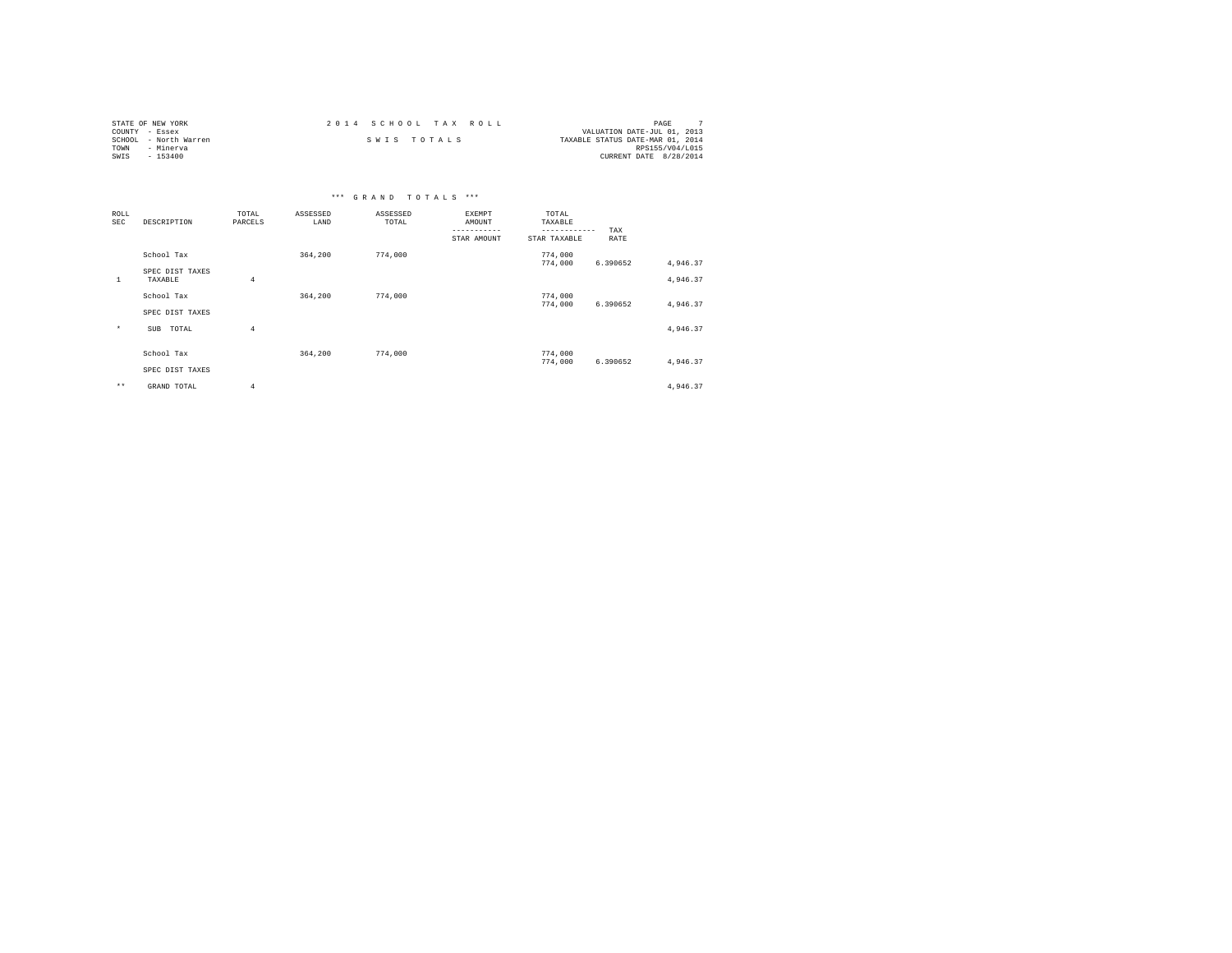| STATE OF NEW YORK     | 2014 SCHOOL TAX ROLL | PAGE                             |
|-----------------------|----------------------|----------------------------------|
| COUNTY - Essex        |                      | VALUATION DATE-JUL 01, 2013      |
| SCHOOL - North Warren | SWIS TOTALS          | TAXABLE STATUS DATE-MAR 01, 2014 |
| TOWN<br>- Minerva     |                      | RPS155/V04/L015                  |
| SWIS<br>$-153400$     |                      | CURRENT DATE 8/28/2014           |

|              |                            |                  |                  | *** GRAND TOTALS *** |                                                |                                                  |             |                      |
|--------------|----------------------------|------------------|------------------|----------------------|------------------------------------------------|--------------------------------------------------|-------------|----------------------|
| ROLL<br>SEC  | DESCRIPTION                | TOTAL<br>PARCELS | ASSESSED<br>LAND | ASSESSED<br>TOTAL    | EXEMPT<br>AMOUNT<br>-----------<br>STAR AMOUNT | TOTAL<br>TAXABLE<br>------------<br>STAR TAXABLE | TAX<br>RATE |                      |
|              | School Tax                 |                  | 364,200          | 774,000              |                                                | 774,000                                          |             |                      |
| $\mathbf{1}$ | SPEC DIST TAXES<br>TAXABLE | $\overline{4}$   |                  |                      |                                                | 774,000                                          | 6.390652    | 4,946.37<br>4,946.37 |
|              | School Tax                 |                  | 364,200          | 774,000              |                                                | 774,000<br>774,000                               | 6.390652    | 4,946.37             |
|              | SPEC DIST TAXES            |                  |                  |                      |                                                |                                                  |             |                      |
| $^\star$     | TOTAL<br>SUB               | $\overline{4}$   |                  |                      |                                                |                                                  |             | 4,946.37             |
|              | School Tax                 |                  | 364,200          | 774,000              |                                                | 774,000                                          |             |                      |
|              |                            |                  |                  |                      |                                                | 774,000                                          | 6.390652    | 4,946.37             |
|              | SPEC DIST TAXES            |                  |                  |                      |                                                |                                                  |             |                      |
| $\star\star$ | GRAND TOTAL                | $\overline{4}$   |                  |                      |                                                |                                                  |             | 4,946.37             |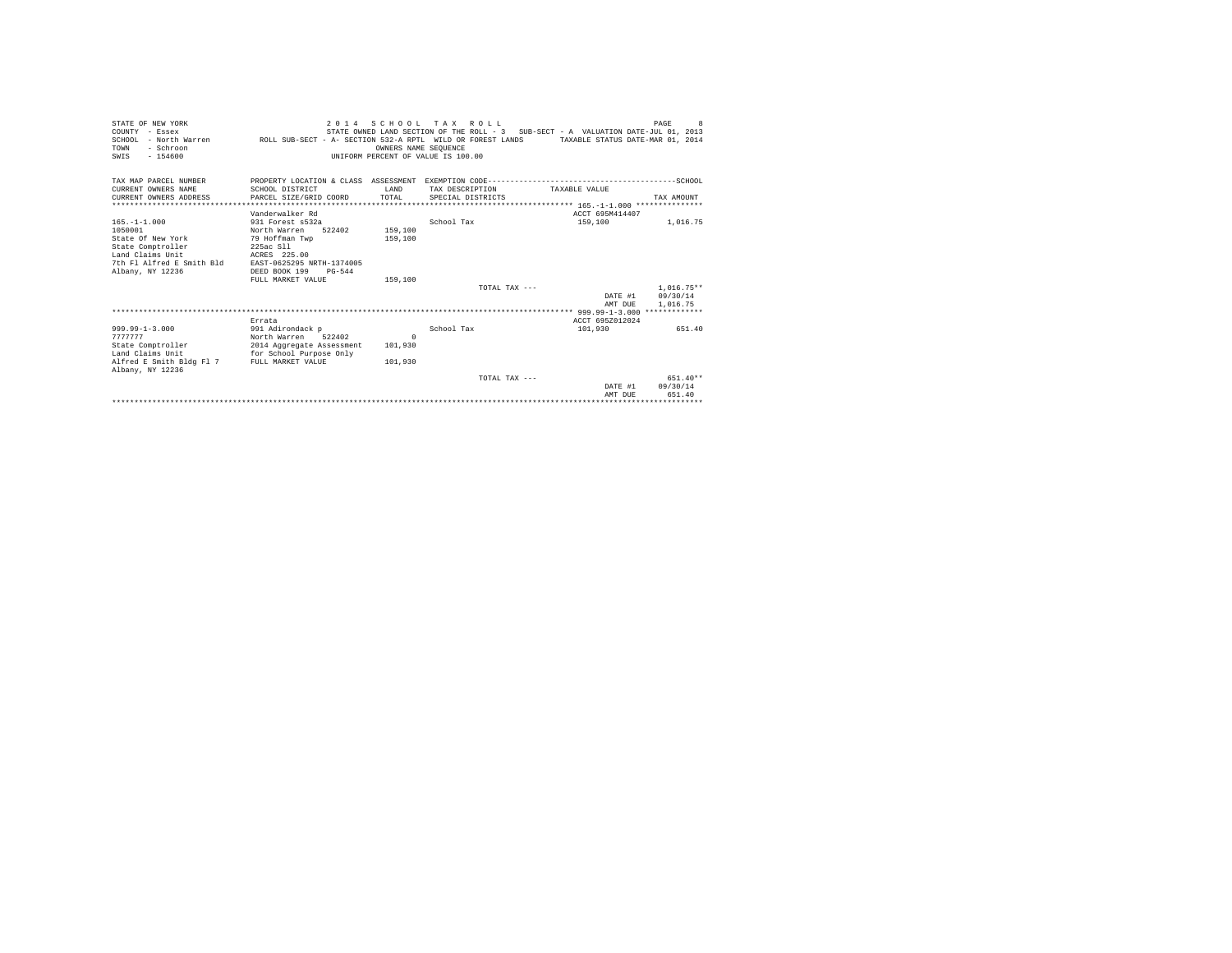| STATE OF NEW YORK<br>COUNTY - Essex<br>SCHOOL - North Warren ROLL SUB-SECT - A- SECTION 532-A RPTL WILD OR FOREST LANDS TAXABLE STATUS DATE-MAR 01, 2014<br>- Schroon<br>TOWN<br>$-154600$<br>SWIS |                                                                                                                                                     | OWNERS NAME SEOUENCE<br>UNIFORM PERCENT OF VALUE IS 100.00 | 2014 SCHOOL TAX ROLL                 | STATE OWNED LAND SECTION OF THE ROLL - 3 SUB-SECT - A VALUATION DATE-JUL 01, 2013 | PAGE<br>8                                    |
|----------------------------------------------------------------------------------------------------------------------------------------------------------------------------------------------------|-----------------------------------------------------------------------------------------------------------------------------------------------------|------------------------------------------------------------|--------------------------------------|-----------------------------------------------------------------------------------|----------------------------------------------|
| TAX MAP PARCEL NUMBER<br>CURRENT OWNERS NAME<br>CURRENT OWNERS ADDRESS                                                                                                                             | SCHOOL DISTRICT<br>PARCEL SIZE/GRID COORD                                                                                                           | T.AND<br>TOTAL                                             | TAX DESCRIPTION<br>SPECIAL DISTRICTS | TAXABLE VALUE                                                                     | TAX AMOUNT                                   |
|                                                                                                                                                                                                    |                                                                                                                                                     |                                                            |                                      |                                                                                   |                                              |
|                                                                                                                                                                                                    | Vanderwalker Rd                                                                                                                                     |                                                            |                                      | ACCT 695M414407                                                                   |                                              |
| $165. - 1 - 1.000$<br>1050001<br>State Of New York<br>State Comptroller<br>Land Claims Unit<br>7th Fl Alfred E Smith Bld<br>Albany, NY 12236                                                       | 931 Forest s532a<br>North Warren<br>522402<br>79 Hoffman Twp<br>225ac S11<br>ACRES 225.00<br>EAST-0625295 NRTH-1374005<br>DEED BOOK 199<br>$PG-544$ | 159,100<br>159,100                                         | School Tax                           | 159,100                                                                           | 1,016.75                                     |
|                                                                                                                                                                                                    | FULL MARKET VALUE                                                                                                                                   | 159,100                                                    |                                      |                                                                                   |                                              |
|                                                                                                                                                                                                    |                                                                                                                                                     |                                                            | TOTAL TAX $---$                      | AMT DUE                                                                           | $1.016.75**$<br>DATE #1 09/30/14<br>1,016.75 |
|                                                                                                                                                                                                    |                                                                                                                                                     |                                                            |                                      |                                                                                   |                                              |
| $999.99 - 1 - 3.000$<br>7777777<br>State Comptroller<br>Land Claims Unit<br>Alfred E Smith Bldg Fl 7 FULL MARKET VALUE                                                                             | Errata<br>991 Adirondack p<br>North Warren 522402<br>2014 Aggregate Assessment<br>for School Purpose Only                                           | $\Omega$<br>101,930<br>101,930                             | School Tax                           | ACCT 695Z012024<br>101,930                                                        | 651.40                                       |
| Albany, NY 12236                                                                                                                                                                                   |                                                                                                                                                     |                                                            |                                      |                                                                                   | $651.40**$                                   |
|                                                                                                                                                                                                    |                                                                                                                                                     |                                                            | TOTAL TAX $---$                      | DATE #1<br>AMT DUE                                                                | 09/30/14<br>651.40                           |
|                                                                                                                                                                                                    |                                                                                                                                                     |                                                            |                                      |                                                                                   |                                              |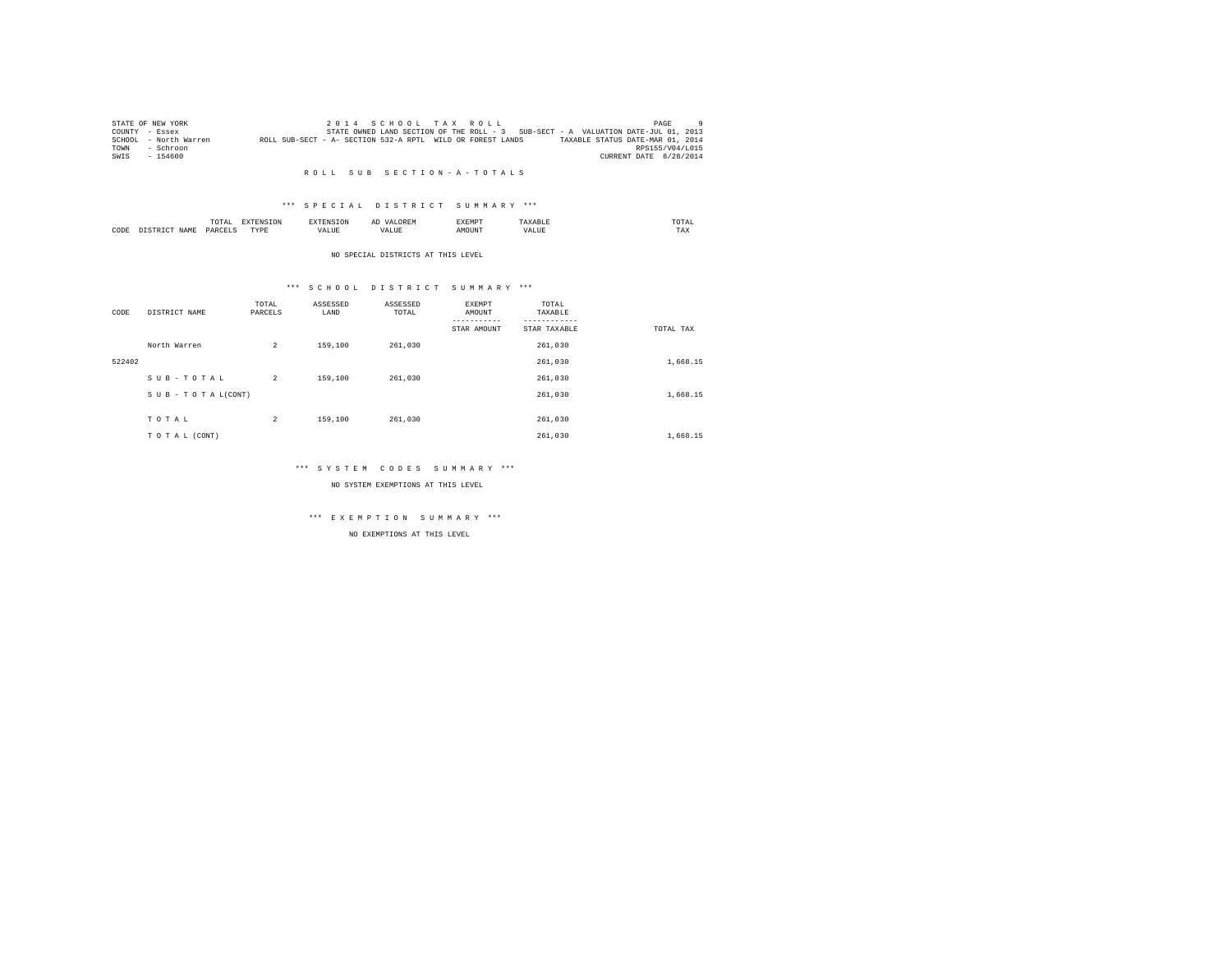| STATE OF NEW YORK     |                                                            | 2014 SCHOOL TAX ROLL |                                                                                   |                                  | PAGE                   |  |
|-----------------------|------------------------------------------------------------|----------------------|-----------------------------------------------------------------------------------|----------------------------------|------------------------|--|
| COUNTY - Essex        |                                                            |                      | STATE OWNED LAND SECTION OF THE ROLL - 3 SUB-SECT - A VALUATION DATE-JUL 01, 2013 |                                  |                        |  |
| SCHOOL - North Warren | ROLL SUB-SECT - A- SECTION 532-A RPTL WILD OR FOREST LANDS |                      |                                                                                   | TAXABLE STATUS DATE-MAR 01, 2014 |                        |  |
| - Schroon<br>TOWN     |                                                            |                      |                                                                                   |                                  | RPS155/V04/L015        |  |
| $-154600$<br>SWIS     |                                                            |                      |                                                                                   |                                  | CURRENT DATE 8/28/2014 |  |
|                       |                                                            |                      |                                                                                   |                                  |                        |  |

## R O L L S U B S E C T I O N - A - T O T A L S

### \*\*\* S P E C I A L D I S T R I C T S U M M A R Y \*\*\*

|      |             | ----<br>TOTAI | the contract of the contract of the contract of the contract of the contract of the contract of the contract of | $\sim$<br>  | <b>YEMP</b> |               | TA.<br>the contract of the contract of the contract of |  |
|------|-------------|---------------|-----------------------------------------------------------------------------------------------------------------|-------------|-------------|---------------|--------------------------------------------------------|--|
| CODE | <b>CAM"</b> | DARCE"        | PVD'<br>.                                                                                                       | $ -$<br>1 D | אוונ        | $ -$<br>'ALUE | $- - -$<br>1 A.A                                       |  |

#### NO SPECIAL DISTRICTS AT THIS LEVEL

### \*\*\* S C H O O L D I S T R I C T S U M M A R Y \*\*\*

| CODE   | DISTRICT NAME      | TOTAL<br>PARCELS | ASSESSED<br>LAND | ASSESSED<br>TOTAL | EXEMPT<br>AMOUNT | TOTAL<br>TAXABLE |           |
|--------|--------------------|------------------|------------------|-------------------|------------------|------------------|-----------|
|        |                    |                  |                  |                   | STAR AMOUNT      | STAR TAXABLE     | TOTAL TAX |
|        | North Warren       | $\overline{a}$   | 159,100          | 261.030           |                  | 261,030          |           |
| 522402 |                    |                  |                  |                   |                  | 261,030          | 1,668.15  |
|        | SUB-TOTAL          | $\overline{2}$   | 159,100          | 261.030           |                  | 261,030          |           |
|        | SUB - TO TAL(CONT) |                  |                  |                   |                  | 261,030          | 1,668.15  |
|        |                    |                  |                  |                   |                  |                  |           |
|        | TOTAL              | $\overline{c}$   | 159,100          | 261,030           |                  | 261,030          |           |
|        | TO TAL (CONT)      |                  |                  |                   |                  | 261.030          | 1,668.15  |

### \*\*\* S Y S T E M C O D E S S U M M A R Y \*\*\*

NO SYSTEM EXEMPTIONS AT THIS LEVEL

# \*\*\* E X E M P T I O N S U M M A R Y \*\*\*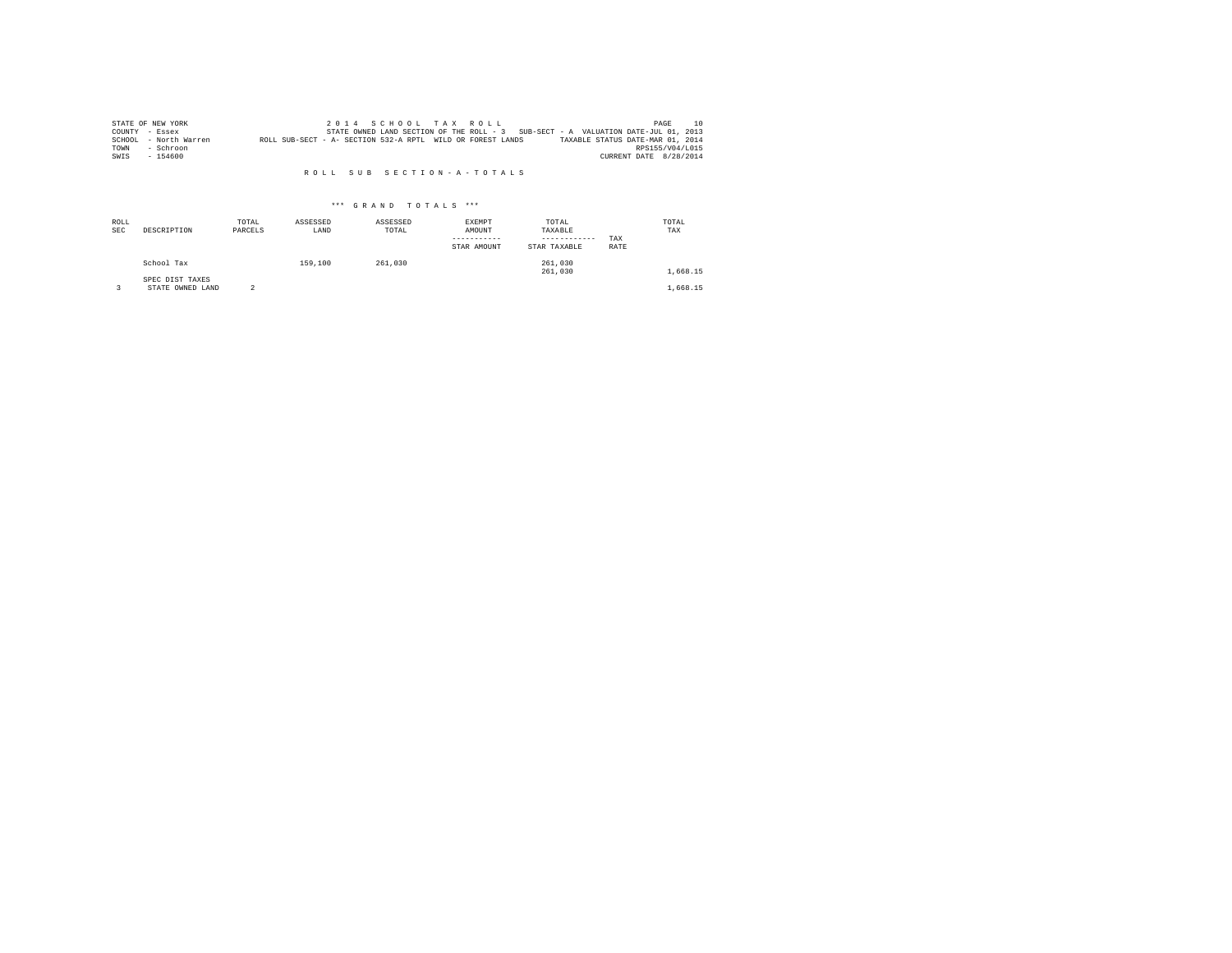|      | STATE OF NEW YORK     |                                                            |  |  | 2014 SCHOOL TAX ROLL |  |                                                                                   | PAGE                   | 10 |
|------|-----------------------|------------------------------------------------------------|--|--|----------------------|--|-----------------------------------------------------------------------------------|------------------------|----|
|      | COUNTY - Essex        |                                                            |  |  |                      |  | STATE OWNED LAND SECTION OF THE ROLL - 3 SUB-SECT - A VALUATION DATE-JUL 01, 2013 |                        |    |
|      | SCHOOL - North Warren | ROLL SUB-SECT - A- SECTION 532-A RPTL WILD OR FOREST LANDS |  |  |                      |  | TAXABLE STATUS DATE-MAR 01, 2014                                                  |                        |    |
| TOWN | - Schroon             |                                                            |  |  |                      |  |                                                                                   | RPS155/V04/L015        |    |
| SWIS | $-154600$             |                                                            |  |  |                      |  |                                                                                   | CURRENT DATE 8/28/2014 |    |

#### R O L L S U B S E C T I O N - A - T O T A L S

| ROLL<br><b>SEC</b> | DESCRIPTION                         | TOTAL<br>PARCELS | ASSESSED<br>LAND | ASSESSED<br>TOTAL | EXEMPT<br>AMOUNT<br>STAR AMOUNT | TOTAL<br>TAXABLE<br>------------<br>STAR TAXABLE | TAX<br>RATE | TOTAL<br>TAX |
|--------------------|-------------------------------------|------------------|------------------|-------------------|---------------------------------|--------------------------------------------------|-------------|--------------|
|                    | School Tax                          |                  | 159,100          | 261,030           |                                 | 261,030<br>261,030                               |             | 1,668.15     |
|                    | SPEC DIST TAXES<br>STATE OWNED LAND |                  |                  |                   |                                 |                                                  |             | 1,668.15     |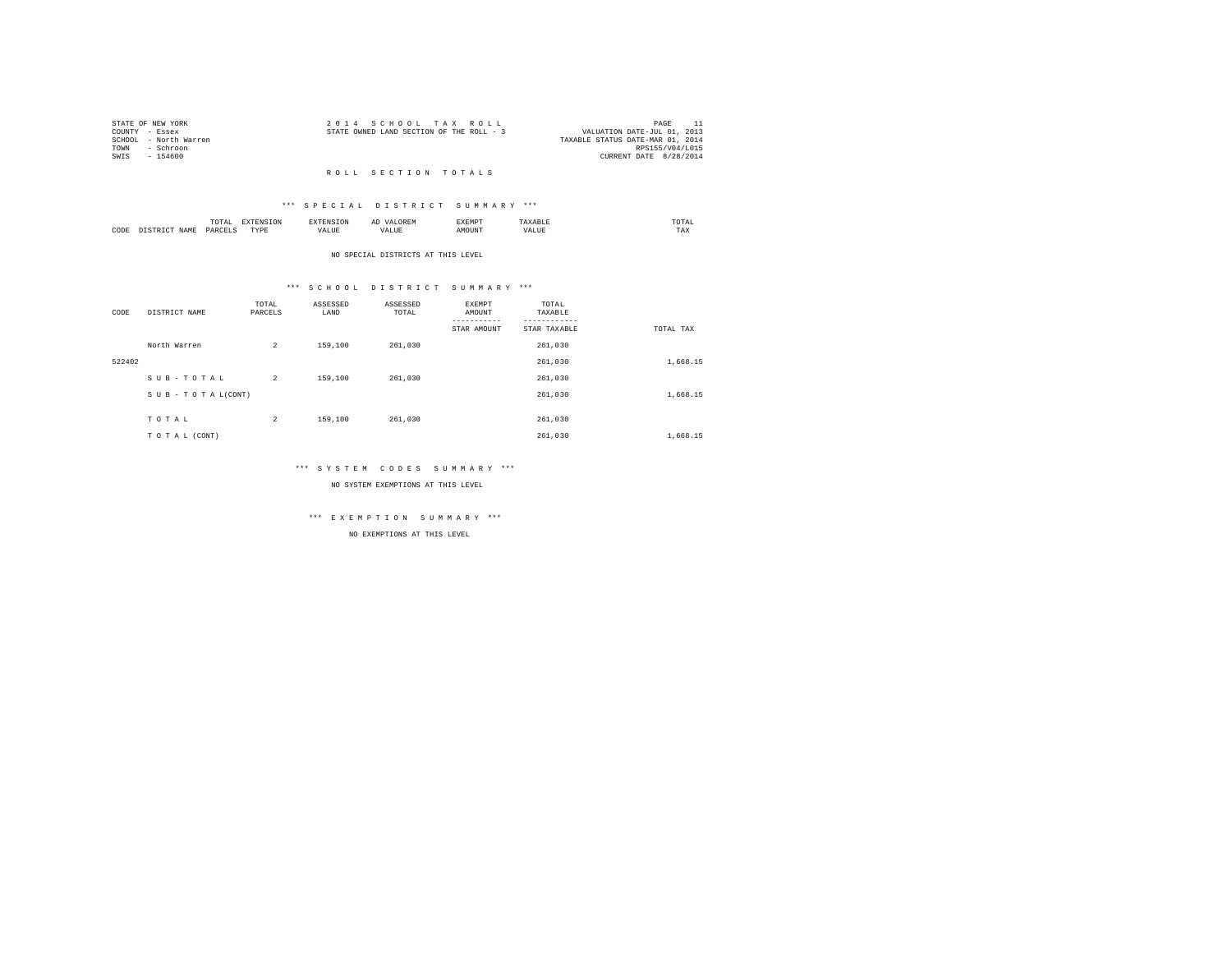| STATE OF NEW YORK |                       |  | 2014 SCHOOL TAX ROLL                     |  |  | PAGE                             |  |
|-------------------|-----------------------|--|------------------------------------------|--|--|----------------------------------|--|
| COUNTY - Essex    |                       |  | STATE OWNED LAND SECTION OF THE ROLL - 3 |  |  | VALUATION DATE-JUL 01, 2013      |  |
|                   | SCHOOL - North Warren |  |                                          |  |  | TAXABLE STATUS DATE-MAR 01, 2014 |  |
| TOWN              | - Schroon             |  |                                          |  |  | RPS155/V04/L015                  |  |
| SWTS              | - 154600              |  |                                          |  |  | CURRENT DATE 8/28/2014           |  |
|                   |                       |  |                                          |  |  |                                  |  |

#### R O L L S E C T I O N T O T A L S

### \*\*\* S P E C I A L D I S T R I C T S U M M A R Y \*\*\*

|      | .              | the contract of the contract of the contract of the contract of the contract of the contract of the contract of | ≖  | .    | $n \wedge m$<br>the contract of the contract of the contract of |
|------|----------------|-----------------------------------------------------------------------------------------------------------------|----|------|-----------------------------------------------------------------|
| CODE | ODP'<br>$\sim$ | wm.<br>.                                                                                                        | -- | ראטי | 1.44A                                                           |

#### NO SPECIAL DISTRICTS AT THIS LEVEL

# \*\*\* S C H O O L D I S T R I C T S U M M A R Y \*\*\*

| CODE   | DISTRICT NAME   | TOTAL<br>PARCELS | ASSESSED<br>LAND | ASSESSED<br>TOTAL | EXEMPT<br>AMOUNT<br>-----------<br>STAR AMOUNT | TOTAL<br>TAXABLE<br>STAR TAXABLE | TOTAL TAX |
|--------|-----------------|------------------|------------------|-------------------|------------------------------------------------|----------------------------------|-----------|
|        | North Warren    | $\overline{a}$   | 159,100          | 261,030           |                                                | 261,030                          |           |
| 522402 |                 |                  |                  |                   |                                                | 261,030                          | 1,668.15  |
|        | SUB-TOTAL       | $\overline{a}$   | 159,100          | 261,030           |                                                | 261,030                          |           |
|        | SUB-TOTAL(CONT) |                  |                  |                   |                                                | 261,030                          | 1,668.15  |
|        |                 |                  |                  |                   |                                                |                                  |           |
|        | TOTAL           | $\overline{c}$   | 159,100          | 261,030           |                                                | 261,030                          |           |
|        | TO TAL (CONT)   |                  |                  |                   |                                                | 261.030                          | 1,668.15  |

# \*\*\* S Y S T E M C O D E S S U M M A R Y \*\*\*

NO SYSTEM EXEMPTIONS AT THIS LEVEL

# \*\*\* E X E M P T I O N S U M M A R Y \*\*\*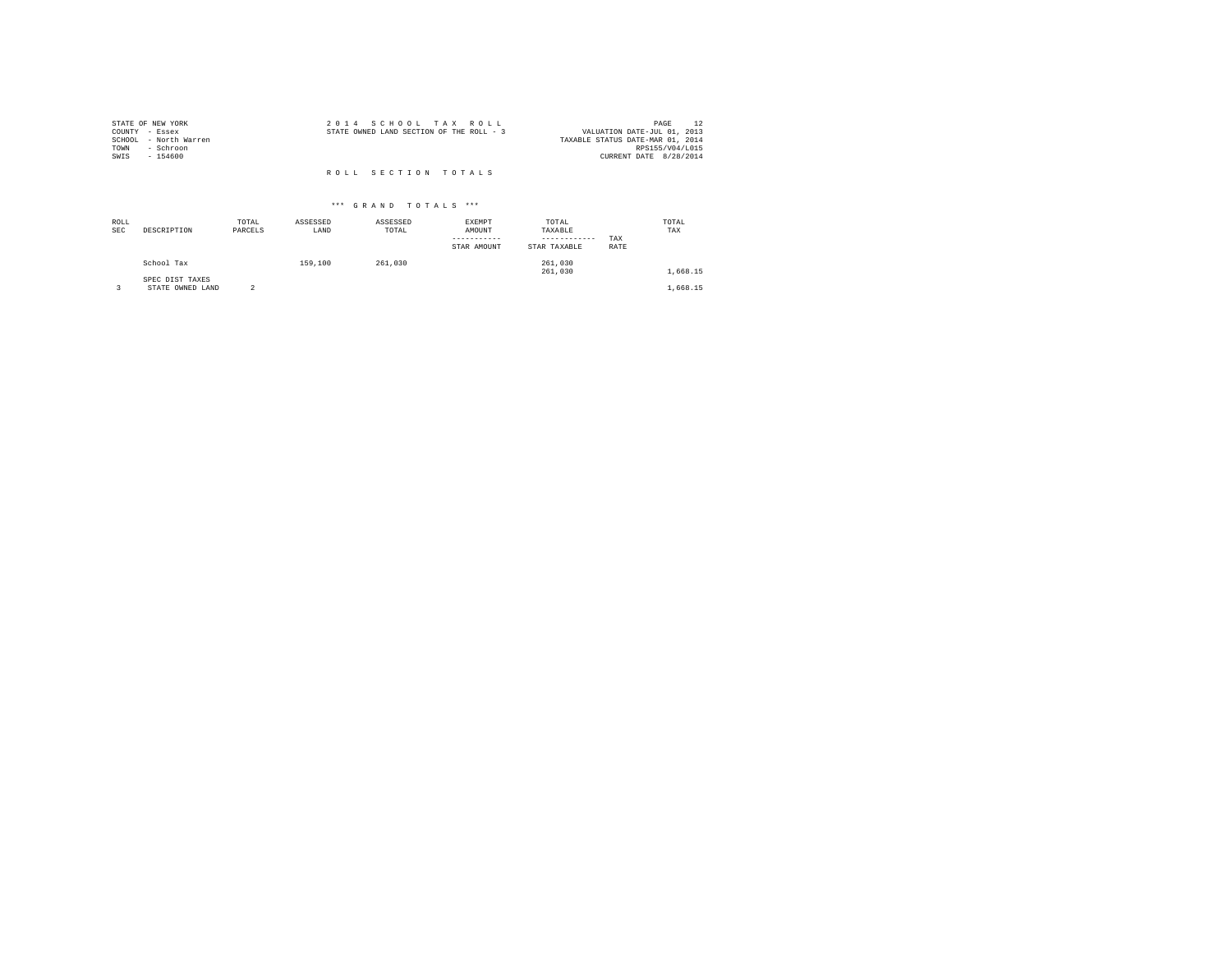| STATE OF NEW YORK     | 2014 SCHOOL TAX ROLL                     | PAGE                             |
|-----------------------|------------------------------------------|----------------------------------|
| COUNTY - Essex        | STATE OWNED LAND SECTION OF THE ROLL - 3 | VALUATION DATE-JUL 01, 2013      |
| SCHOOL - North Warren |                                          | TAXABLE STATUS DATE-MAR 01, 2014 |
| TOWN<br>- Schroon     |                                          | RPS155/V04/L015                  |
| SWIS<br>$-154600$     |                                          | CURRENT DATE 8/28/2014           |
|                       | ROLL SECTION TOTALS                      |                                  |

| ROLL<br><b>SEC</b> | DESCRIPTION                         | TOTAL<br>PARCELS | ASSESSED<br>LAND | ASSESSED<br>TOTAL | EXEMPT<br>AMOUNT<br>STAR AMOUNT | TOTAL<br>TAXABLE<br>------------<br>STAR TAXABLE | TAX<br>RATE | TOTAL<br>TAX |
|--------------------|-------------------------------------|------------------|------------------|-------------------|---------------------------------|--------------------------------------------------|-------------|--------------|
|                    | School Tax                          |                  | 159,100          | 261,030           |                                 | 261,030<br>261,030                               |             | 1,668.15     |
|                    | SPEC DIST TAXES<br>STATE OWNED LAND |                  |                  |                   |                                 |                                                  |             | 1,668.15     |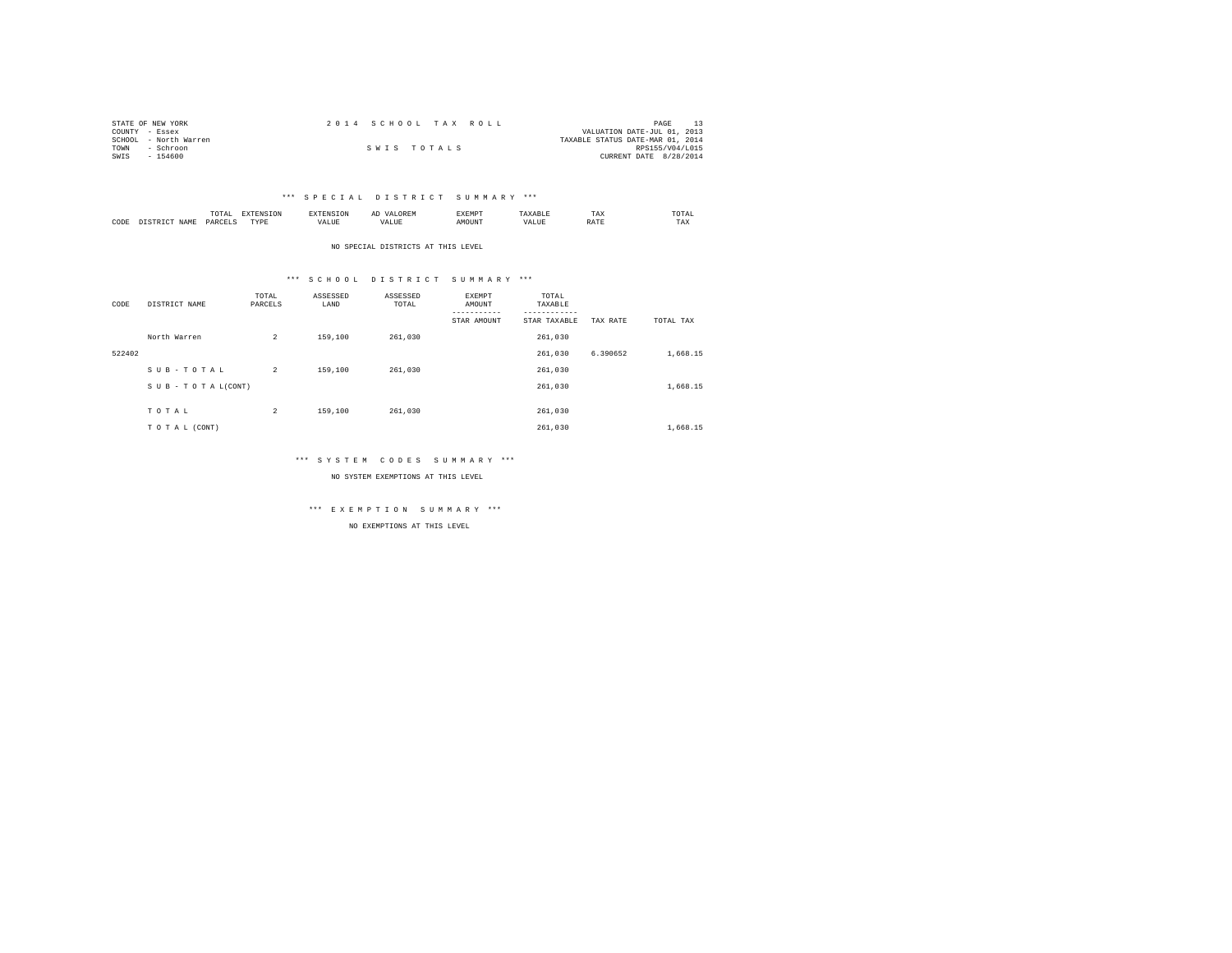| STATE OF NEW YORK     | 2014 SCHOOL TAX ROLL | PAGE                             |
|-----------------------|----------------------|----------------------------------|
| COUNTY - Essex        |                      | VALUATION DATE-JUL 01, 2013      |
| SCHOOL - North Warren |                      | TAXABLE STATUS DATE-MAR 01, 2014 |
| TOWN<br>- Schroon     | SWIS TOTALS          | RPS155/V04/L015                  |
| $-154600$<br>SWIS     |                      | CURRENT DATE 8/28/2014           |

### \*\*\* S P E C I A L D I S T R I C T S U M M A R Y \*\*\*

|      |             | TUIAL<br>the contract of the contract of the contract of | --------------- |      | $\sim$<br>. | ----- |       | TAX | UIAI<br>the contract of the contract of the contract of |
|------|-------------|----------------------------------------------------------|-----------------|------|-------------|-------|-------|-----|---------------------------------------------------------|
| CODE | <b>NAME</b> | .                                                        | rvnt<br>.       | ALUE |             |       | 'ALUE |     | TAX                                                     |

NO SPECIAL DISTRICTS AT THIS LEVEL

### \*\*\* S C H O O L D I S T R I C T S U M M A R Y \*\*\*

| CODE   | DISTRICT NAME   | TOTAL<br>PARCELS | ASSESSED<br>LAND | ASSESSED<br>TOTAL | EXEMPT<br>AMOUNT<br>----------- | TOTAL<br>TAXABLE<br>--------- |          |           |
|--------|-----------------|------------------|------------------|-------------------|---------------------------------|-------------------------------|----------|-----------|
|        |                 |                  |                  |                   | STAR AMOUNT                     | STAR TAXABLE                  | TAX RATE | TOTAL TAX |
|        | North Warren    | $\overline{a}$   | 159,100          | 261,030           |                                 | 261,030                       |          |           |
| 522402 |                 |                  |                  |                   |                                 | 261.030                       | 6.390652 | 1,668.15  |
|        | SUB-TOTAL       | $\overline{2}$   | 159,100          | 261,030           |                                 | 261,030                       |          |           |
|        | SUB-TOTAL(CONT) |                  |                  |                   |                                 | 261,030                       |          | 1,668.15  |
|        |                 |                  |                  |                   |                                 |                               |          |           |
|        | TOTAL           | $\overline{a}$   | 159,100          | 261,030           |                                 | 261,030                       |          |           |
|        | TO TAL (CONT)   |                  |                  |                   |                                 | 261.030                       |          | 1,668.15  |

### \*\*\* S Y S T E M C O D E S S U M M A R Y \*\*\*

NO SYSTEM EXEMPTIONS AT THIS LEVEL

\*\*\* E X E M P T I O N S U M M A R Y \*\*\*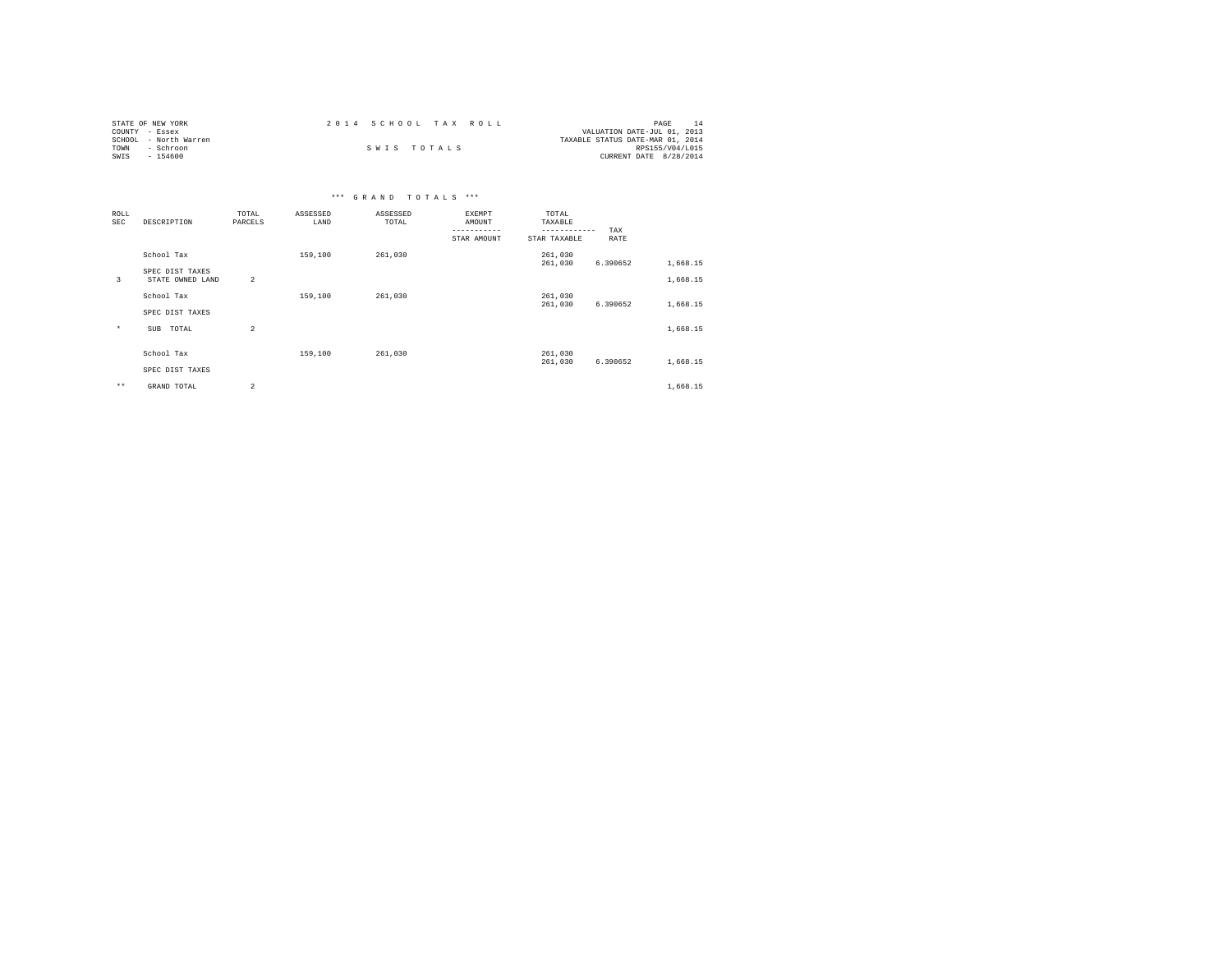| STATE OF NEW YORK     | 2014 SCHOOL TAX ROLL |  |                                  | PAGE                   |  |
|-----------------------|----------------------|--|----------------------------------|------------------------|--|
| COUNTY - Essex        |                      |  | VALUATION DATE-JUL 01, 2013      |                        |  |
| SCHOOL - North Warren |                      |  | TAXABLE STATUS DATE-MAR 01, 2014 |                        |  |
| TOWN<br>- Schroon     | SWIS TOTALS          |  |                                  | RPS155/V04/L015        |  |
| SWIS<br>$-154600$     |                      |  |                                  | CURRENT DATE 8/28/2014 |  |

| ROLL         |                  | TOTAL                   | ASSESSED | ASSESSED | EXEMPT      | TOTAL                   |          |          |  |
|--------------|------------------|-------------------------|----------|----------|-------------|-------------------------|----------|----------|--|
| SEC          | DESCRIPTION      | PARCELS                 | LAND     | TOTAL    | AMOUNT      | TAXABLE<br>------------ | TAX      |          |  |
|              |                  |                         |          |          | STAR AMOUNT | STAR TAXABLE            | RATE     |          |  |
|              | School Tax       |                         | 159,100  | 261,030  |             | 261,030                 |          |          |  |
|              | SPEC DIST TAXES  |                         |          |          |             | 261,030                 | 6.390652 | 1,668.15 |  |
| 3            | STATE OWNED LAND | $\overline{c}$          |          |          |             |                         |          | 1,668.15 |  |
|              | School Tax       |                         | 159,100  | 261,030  |             | 261,030                 |          |          |  |
|              | SPEC DIST TAXES  |                         |          |          |             | 261,030                 | 6.390652 | 1,668.15 |  |
| $\star$      | TOTAL<br>SUB     | $\overline{\mathbf{c}}$ |          |          |             |                         |          | 1,668.15 |  |
|              |                  |                         |          |          |             |                         |          |          |  |
|              | School Tax       |                         | 159,100  | 261,030  |             | 261,030                 |          |          |  |
|              | SPEC DIST TAXES  |                         |          |          |             | 261,030                 | 6.390652 | 1,668.15 |  |
| $\star\star$ | GRAND TOTAL      | $\overline{a}$          |          |          |             |                         |          | 1,668.15 |  |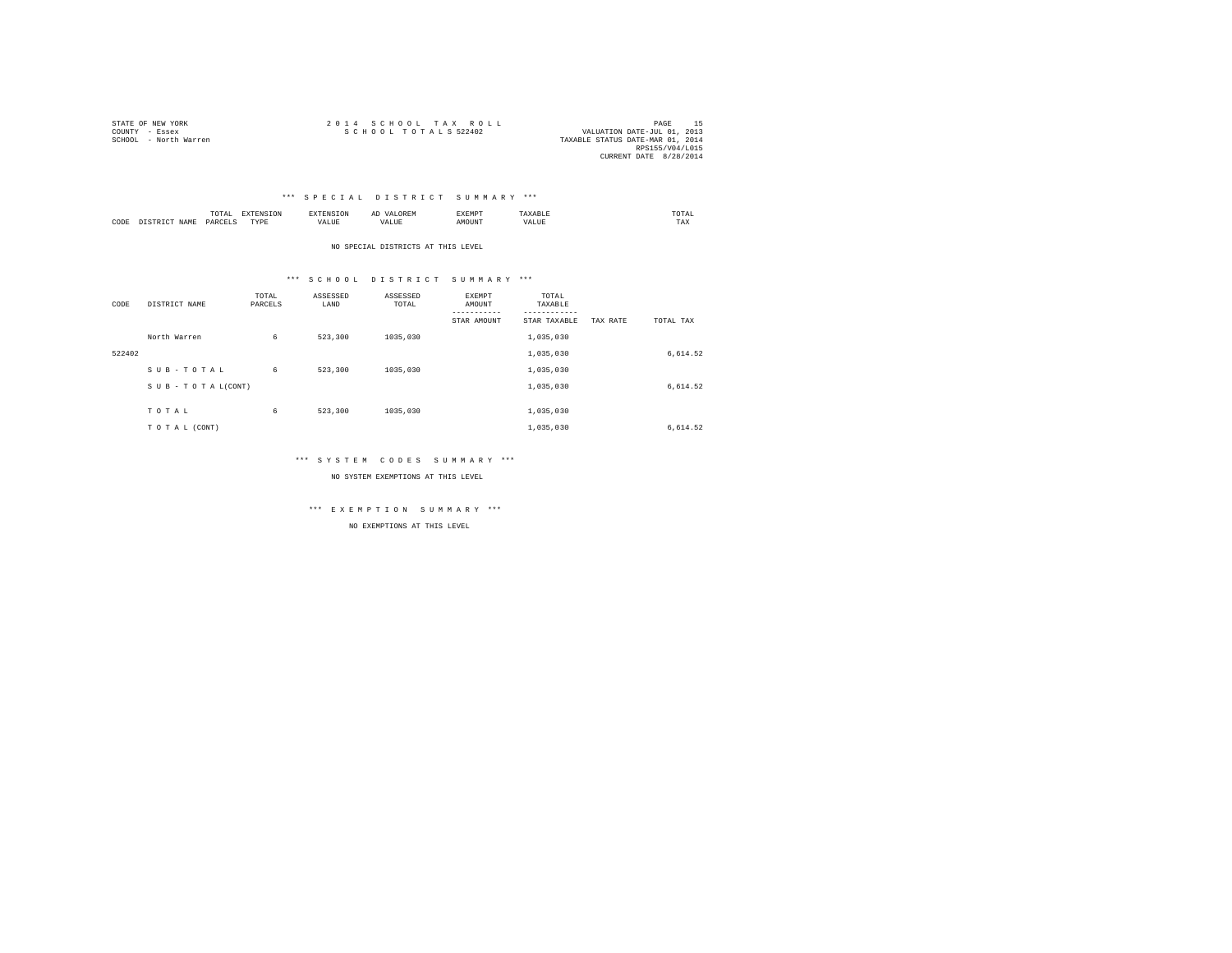| STATE OF NEW YORK     | 2014 SCHOOL TAX ROLL                                | PAGE            |  |
|-----------------------|-----------------------------------------------------|-----------------|--|
| COUNTY - Essex        | SCHOOL TOTALS 522402<br>VALUATION DATE-JUL 01, 2013 |                 |  |
| SCHOOL - North Warren | TAXABLE STATUS DATE-MAR 01, 2014                    |                 |  |
|                       |                                                     | RPS155/V04/L015 |  |
|                       | CURRENT DATE 8/28/2014                              |                 |  |

### \*\*\* S P E C I A L D I S T R I C T S U M M A R Y \*\*\*

|      |      | IUIAL<br>the contract of the contract of the contract of the contract of the contract of |           | .     | $\sim$<br>. | £XEMP" |                    | :OTAL<br>the contract of the contract of the contract of |
|------|------|------------------------------------------------------------------------------------------|-----------|-------|-------------|--------|--------------------|----------------------------------------------------------|
| CODE | JAMF | <b>DAV</b><br>.                                                                          | TVDE<br>. | 'ALUE |             | אווט   | $- - - -$<br>VALUL | TAX                                                      |

NO SPECIAL DISTRICTS AT THIS LEVEL

### \*\*\* S C H O O L D I S T R I C T S U M M A R Y \*\*\*

| CODE   | DISTRICT NAME   | TOTAL<br>PARCELS | ASSESSED<br>LAND | ASSESSED<br>TOTAL | EXEMPT<br>AMOUNT<br>-----------<br>STAR AMOUNT | TOTAL<br>TAXABLE<br>---------<br>STAR TAXABLE | TAX RATE | TOTAL TAX |
|--------|-----------------|------------------|------------------|-------------------|------------------------------------------------|-----------------------------------------------|----------|-----------|
|        | North Warren    | 6                | 523,300          | 1035,030          |                                                | 1,035,030                                     |          |           |
| 522402 |                 |                  |                  |                   |                                                | 1,035,030                                     |          | 6,614.52  |
|        | SUB-TOTAL       | 6                | 523,300          | 1035,030          |                                                | 1,035,030                                     |          |           |
|        | SUB-TOTAL(CONT) |                  |                  |                   |                                                | 1,035,030                                     |          | 6,614.52  |
|        | TOTAL           | 6                | 523,300          | 1035,030          |                                                | 1,035,030                                     |          |           |
|        | TO TAL (CONT)   |                  |                  |                   |                                                | 1,035,030                                     |          | 6,614.52  |

### \*\*\* S Y S T E M C O D E S S U M M A R Y \*\*\*

NO SYSTEM EXEMPTIONS AT THIS LEVEL

\*\*\* E X E M P T I O N S U M M A R Y \*\*\*